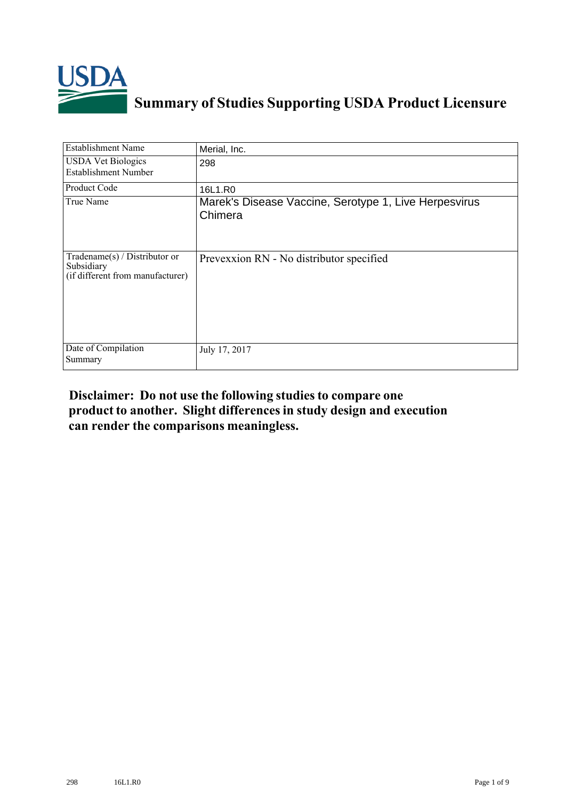

## **Summary of Studies Supporting USDA Product Licensure**

| Establishment Name                                                              | Merial, Inc.                                                     |
|---------------------------------------------------------------------------------|------------------------------------------------------------------|
| <b>USDA Vet Biologics</b><br><b>Establishment Number</b>                        | 298                                                              |
| Product Code                                                                    | 16L1.R0                                                          |
| True Name                                                                       | Marek's Disease Vaccine, Serotype 1, Live Herpesvirus<br>Chimera |
| Tradename(s) / Distributor or<br>Subsidiary<br>(if different from manufacturer) | Prevexxion RN - No distributor specified                         |
| Date of Compilation<br>Summary                                                  | July 17, 2017                                                    |

## **Disclaimer: Do not use the following studiesto compare one product to another. Slight differencesin study design and execution can render the comparisons meaningless.**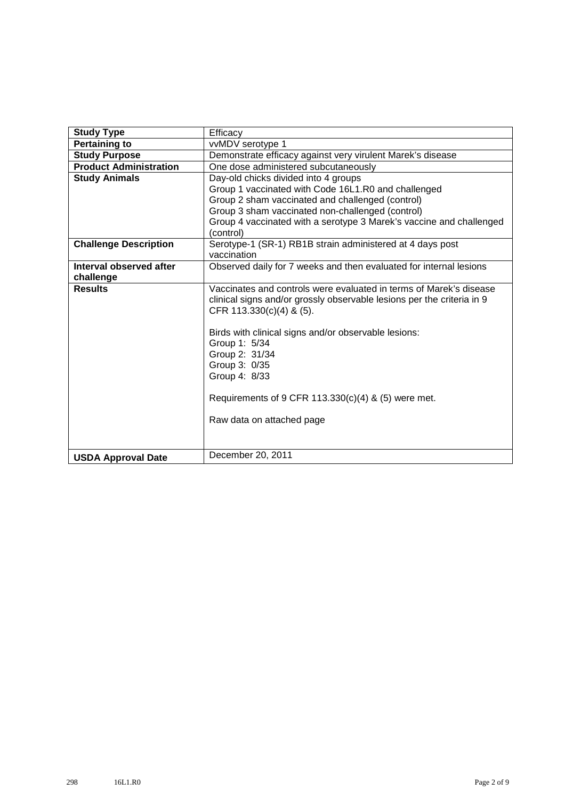| <b>Study Type</b>             | Efficacy                                                                                                                                     |
|-------------------------------|----------------------------------------------------------------------------------------------------------------------------------------------|
| <b>Pertaining to</b>          | vvMDV serotype 1                                                                                                                             |
| <b>Study Purpose</b>          | Demonstrate efficacy against very virulent Marek's disease                                                                                   |
| <b>Product Administration</b> | One dose administered subcutaneously                                                                                                         |
| <b>Study Animals</b>          | Day-old chicks divided into 4 groups                                                                                                         |
|                               | Group 1 vaccinated with Code 16L1.R0 and challenged                                                                                          |
|                               | Group 2 sham vaccinated and challenged (control)                                                                                             |
|                               | Group 3 sham vaccinated non-challenged (control)                                                                                             |
|                               | Group 4 vaccinated with a serotype 3 Marek's vaccine and challenged                                                                          |
|                               | (control)                                                                                                                                    |
| <b>Challenge Description</b>  | Serotype-1 (SR-1) RB1B strain administered at 4 days post                                                                                    |
|                               | vaccination                                                                                                                                  |
| Interval observed after       | Observed daily for 7 weeks and then evaluated for internal lesions                                                                           |
| challenge                     |                                                                                                                                              |
| <b>Results</b>                | Vaccinates and controls were evaluated in terms of Marek's disease<br>clinical signs and/or grossly observable lesions per the criteria in 9 |
|                               | CFR $113.330(c)(4)$ & $(5)$ .                                                                                                                |
|                               | Birds with clinical signs and/or observable lesions:                                                                                         |
|                               | Group 1: 5/34                                                                                                                                |
|                               | Group 2: 31/34                                                                                                                               |
|                               | Group 3: 0/35                                                                                                                                |
|                               | Group 4: 8/33                                                                                                                                |
|                               | Requirements of 9 CFR 113.330(c)(4) & (5) were met.                                                                                          |
|                               | Raw data on attached page                                                                                                                    |
|                               |                                                                                                                                              |
|                               |                                                                                                                                              |
| <b>USDA Approval Date</b>     | December 20, 2011                                                                                                                            |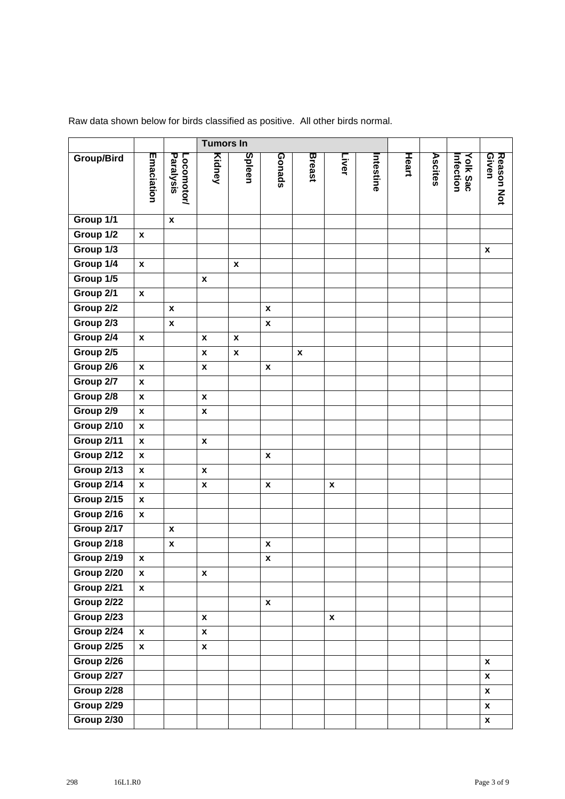|                   |                    |                         |                    | <b>Tumors In</b>   |                    |                    |                    |          |              |         |                             |                     |
|-------------------|--------------------|-------------------------|--------------------|--------------------|--------------------|--------------------|--------------------|----------|--------------|---------|-----------------------------|---------------------|
| <b>Group/Bird</b> | Emaciation         | Paralysis<br>Locomotor/ | Kidney             | Spleen             | Gonads             | <b>Breast</b>      | Liver              | ntestine | <b>Heart</b> | Ascites | <b>Yolk Sac</b><br>hfection | Reason Not<br>Given |
| Group 1/1         |                    | $\pmb{\mathsf{x}}$      |                    |                    |                    |                    |                    |          |              |         |                             |                     |
| Group 1/2         | $\pmb{\mathsf{x}}$ |                         |                    |                    |                    |                    |                    |          |              |         |                             |                     |
| Group 1/3         |                    |                         |                    |                    |                    |                    |                    |          |              |         |                             | $\pmb{\mathsf{x}}$  |
| Group 1/4         | $\pmb{\mathsf{x}}$ |                         |                    | $\pmb{\mathsf{x}}$ |                    |                    |                    |          |              |         |                             |                     |
| Group 1/5         |                    |                         | $\pmb{\mathsf{x}}$ |                    |                    |                    |                    |          |              |         |                             |                     |
| Group 2/1         | $\pmb{\mathsf{x}}$ |                         |                    |                    |                    |                    |                    |          |              |         |                             |                     |
| Group 2/2         |                    | $\pmb{\mathsf{x}}$      |                    |                    | $\pmb{\chi}$       |                    |                    |          |              |         |                             |                     |
| Group 2/3         |                    | $\pmb{\mathsf{x}}$      |                    |                    | $\pmb{\mathsf{x}}$ |                    |                    |          |              |         |                             |                     |
| Group 2/4         | $\pmb{\mathsf{x}}$ |                         | X                  | $\pmb{\mathsf{x}}$ |                    |                    |                    |          |              |         |                             |                     |
| Group 2/5         |                    |                         | $\pmb{\chi}$       | $\pmb{\mathsf{x}}$ |                    | $\pmb{\mathsf{x}}$ |                    |          |              |         |                             |                     |
| Group 2/6         | $\pmb{\mathsf{x}}$ |                         | $\pmb{\mathsf{x}}$ |                    | $\pmb{\mathsf{x}}$ |                    |                    |          |              |         |                             |                     |
| Group 2/7         | $\pmb{\mathsf{x}}$ |                         |                    |                    |                    |                    |                    |          |              |         |                             |                     |
| Group 2/8         | $\pmb{\mathsf{x}}$ |                         | $\pmb{\mathsf{x}}$ |                    |                    |                    |                    |          |              |         |                             |                     |
| Group 2/9         | $\pmb{\mathsf{x}}$ |                         | $\pmb{\mathsf{x}}$ |                    |                    |                    |                    |          |              |         |                             |                     |
| Group 2/10        | $\pmb{\mathsf{x}}$ |                         |                    |                    |                    |                    |                    |          |              |         |                             |                     |
| Group 2/11        | $\pmb{\mathsf{x}}$ |                         | $\pmb{\mathsf{x}}$ |                    |                    |                    |                    |          |              |         |                             |                     |
| Group 2/12        | $\pmb{\mathsf{x}}$ |                         |                    |                    | $\pmb{\mathsf{x}}$ |                    |                    |          |              |         |                             |                     |
| Group 2/13        | $\pmb{\mathsf{x}}$ |                         | $\pmb{\mathsf{x}}$ |                    |                    |                    |                    |          |              |         |                             |                     |
| Group 2/14        | $\pmb{\mathsf{x}}$ |                         | X                  |                    | $\pmb{\mathsf{x}}$ |                    | $\pmb{\mathsf{x}}$ |          |              |         |                             |                     |
| Group 2/15        | $\pmb{\mathsf{x}}$ |                         |                    |                    |                    |                    |                    |          |              |         |                             |                     |
| Group 2/16        | $\pmb{\mathsf{x}}$ |                         |                    |                    |                    |                    |                    |          |              |         |                             |                     |
| Group 2/17        |                    | $\pmb{\mathsf{x}}$      |                    |                    |                    |                    |                    |          |              |         |                             |                     |
| Group 2/18        |                    | $\pmb{\mathsf{x}}$      |                    |                    | $\pmb{\mathsf{x}}$ |                    |                    |          |              |         |                             |                     |
| Group 2/19        | $\pmb{\mathsf{x}}$ |                         |                    |                    | X                  |                    |                    |          |              |         |                             |                     |
| Group 2/20        | $\boldsymbol{x}$   |                         | $\boldsymbol{x}$   |                    |                    |                    |                    |          |              |         |                             |                     |
| Group 2/21        | $\pmb{\mathsf{x}}$ |                         |                    |                    |                    |                    |                    |          |              |         |                             |                     |
| Group 2/22        |                    |                         |                    |                    | $\pmb{\mathsf{x}}$ |                    |                    |          |              |         |                             |                     |
| Group 2/23        |                    |                         | $\pmb{\mathsf{x}}$ |                    |                    |                    | $\pmb{\mathsf{x}}$ |          |              |         |                             |                     |
| Group 2/24        | $\pmb{\mathsf{x}}$ |                         | $\pmb{\mathsf{x}}$ |                    |                    |                    |                    |          |              |         |                             |                     |
| Group 2/25        | $\pmb{\mathsf{x}}$ |                         | $\pmb{\mathsf{x}}$ |                    |                    |                    |                    |          |              |         |                             |                     |
| Group 2/26        |                    |                         |                    |                    |                    |                    |                    |          |              |         |                             | $\pmb{\mathsf{x}}$  |
| Group 2/27        |                    |                         |                    |                    |                    |                    |                    |          |              |         |                             | $\pmb{\mathsf{x}}$  |
| Group 2/28        |                    |                         |                    |                    |                    |                    |                    |          |              |         |                             | $\pmb{\mathsf{x}}$  |
| Group 2/29        |                    |                         |                    |                    |                    |                    |                    |          |              |         |                             | $\pmb{\mathsf{x}}$  |
| Group 2/30        |                    |                         |                    |                    |                    |                    |                    |          |              |         |                             | $\pmb{\mathsf{x}}$  |

Raw data shown below for birds classified as positive. All other birds normal.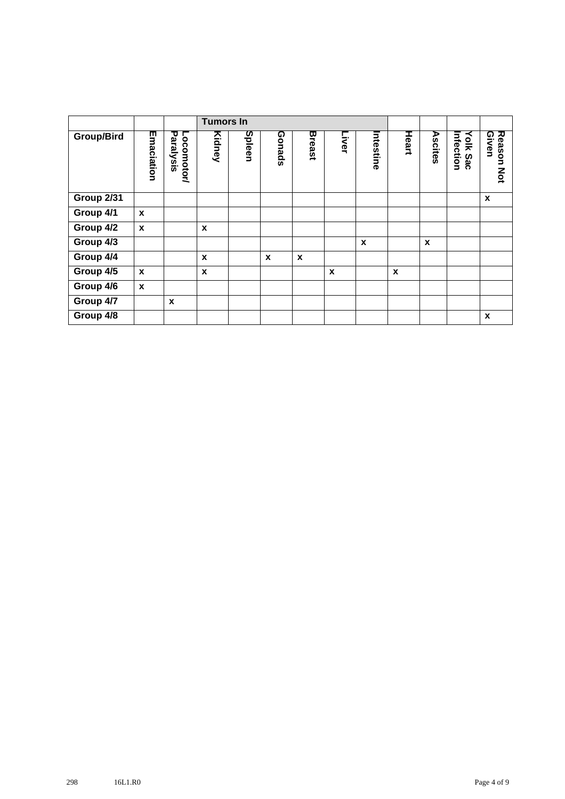|                   |                  |                         | <b>Tumors In</b> |        |        |               |       |                  |       |         |                       |                               |
|-------------------|------------------|-------------------------|------------------|--------|--------|---------------|-------|------------------|-------|---------|-----------------------|-------------------------------|
| Group/Bird        | Emaciation       | Paralysis<br>Locomotor/ | Kidney           | Spleen | Gonads | <b>Breast</b> | Liver | Intestine        | Heart | Ascites | Infection<br>Yolk Sac | Reason<br>Given<br><b>MOT</b> |
| <b>Group 2/31</b> |                  |                         |                  |        |        |               |       |                  |       |         |                       | X                             |
| Group 4/1         | $\mathbf{x}$     |                         |                  |        |        |               |       |                  |       |         |                       |                               |
| Group 4/2         | $\mathbf{x}$     |                         | $\mathbf{x}$     |        |        |               |       |                  |       |         |                       |                               |
| Group 4/3         |                  |                         |                  |        |        |               |       | $\boldsymbol{x}$ |       | X       |                       |                               |
| Group 4/4         |                  |                         | X                |        | X      | X             |       |                  |       |         |                       |                               |
| Group 4/5         | $\boldsymbol{x}$ |                         | X                |        |        |               | X     |                  | X     |         |                       |                               |
| Group 4/6         | $\boldsymbol{x}$ |                         |                  |        |        |               |       |                  |       |         |                       |                               |
| Group 4/7         |                  | X                       |                  |        |        |               |       |                  |       |         |                       |                               |
| Group 4/8         |                  |                         |                  |        |        |               |       |                  |       |         |                       | X                             |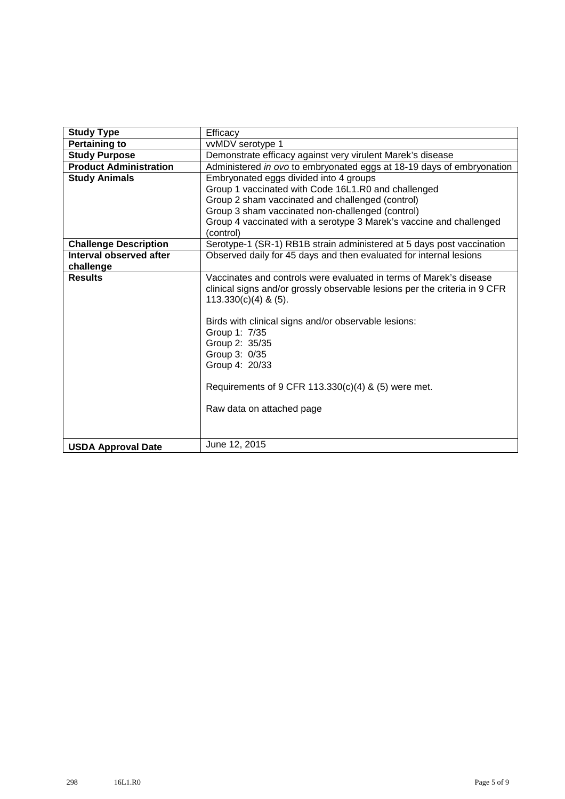| <b>Study Type</b>             | Efficacy                                                                                                                                                                                                                                                                                                                                                                                     |
|-------------------------------|----------------------------------------------------------------------------------------------------------------------------------------------------------------------------------------------------------------------------------------------------------------------------------------------------------------------------------------------------------------------------------------------|
| <b>Pertaining to</b>          | vvMDV serotype 1                                                                                                                                                                                                                                                                                                                                                                             |
| <b>Study Purpose</b>          | Demonstrate efficacy against very virulent Marek's disease                                                                                                                                                                                                                                                                                                                                   |
| <b>Product Administration</b> | Administered in ovo to embryonated eggs at 18-19 days of embryonation                                                                                                                                                                                                                                                                                                                        |
| <b>Study Animals</b>          | Embryonated eggs divided into 4 groups                                                                                                                                                                                                                                                                                                                                                       |
|                               | Group 1 vaccinated with Code 16L1.R0 and challenged                                                                                                                                                                                                                                                                                                                                          |
|                               | Group 2 sham vaccinated and challenged (control)                                                                                                                                                                                                                                                                                                                                             |
|                               | Group 3 sham vaccinated non-challenged (control)                                                                                                                                                                                                                                                                                                                                             |
|                               | Group 4 vaccinated with a serotype 3 Marek's vaccine and challenged<br>(control)                                                                                                                                                                                                                                                                                                             |
| <b>Challenge Description</b>  | Serotype-1 (SR-1) RB1B strain administered at 5 days post vaccination                                                                                                                                                                                                                                                                                                                        |
| Interval observed after       | Observed daily for 45 days and then evaluated for internal lesions                                                                                                                                                                                                                                                                                                                           |
| challenge                     |                                                                                                                                                                                                                                                                                                                                                                                              |
| <b>Results</b>                | Vaccinates and controls were evaluated in terms of Marek's disease<br>clinical signs and/or grossly observable lesions per the criteria in 9 CFR<br>$113.330(c)(4)$ & (5).<br>Birds with clinical signs and/or observable lesions:<br>Group 1: 7/35<br>Group 2: 35/35<br>Group 3: 0/35<br>Group 4: 20/33<br>Requirements of 9 CFR 113.330(c)(4) & (5) were met.<br>Raw data on attached page |
| <b>USDA Approval Date</b>     | June 12, 2015                                                                                                                                                                                                                                                                                                                                                                                |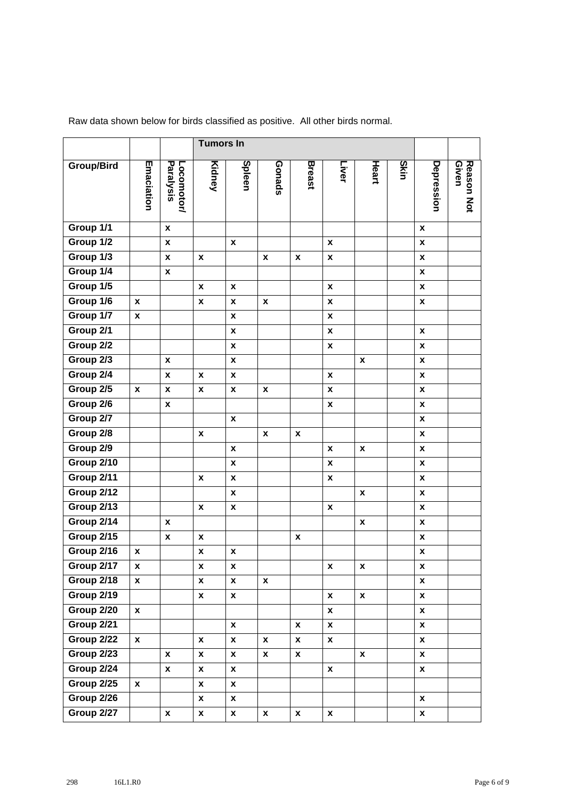|                   |                    |                           | <b>Tumors In</b>   |                    |                    |                    |                    |                    |      |                    |                     |  |
|-------------------|--------------------|---------------------------|--------------------|--------------------|--------------------|--------------------|--------------------|--------------------|------|--------------------|---------------------|--|
| <b>Group/Bird</b> | Emaciation         | Paralysis<br>Locomotor/   | Kidney             | Spleen             | Gonads             | <b>Breast</b>      | Liver              | Heart              | Skin | Depression         | Reason Not<br>Given |  |
| Group 1/1         |                    | $\pmb{\chi}$              |                    |                    |                    |                    |                    |                    |      | $\pmb{\chi}$       |                     |  |
| Group 1/2         |                    | $\pmb{\chi}$              |                    | $\pmb{\chi}$       |                    |                    | X                  |                    |      | $\pmb{\chi}$       |                     |  |
| Group 1/3         |                    | $\pmb{\mathsf{x}}$        | X                  |                    | $\pmb{\mathsf{x}}$ | $\pmb{\mathsf{x}}$ | $\pmb{\mathsf{x}}$ |                    |      | $\pmb{\mathsf{x}}$ |                     |  |
| Group 1/4         |                    | $\pmb{\chi}$              |                    |                    |                    |                    |                    |                    |      | X                  |                     |  |
| Group 1/5         |                    |                           | $\pmb{\chi}$       | $\pmb{\mathsf{x}}$ |                    |                    | $\pmb{\mathsf{x}}$ |                    |      | $\boldsymbol{x}$   |                     |  |
| Group 1/6         | $\pmb{\mathsf{x}}$ |                           | $\pmb{\chi}$       | X                  | X                  |                    | $\pmb{\mathsf{x}}$ |                    |      | $\pmb{\mathsf{x}}$ |                     |  |
| Group 1/7         | X                  |                           |                    | $\pmb{\mathsf{x}}$ |                    |                    | $\pmb{\mathsf{x}}$ |                    |      |                    |                     |  |
| Group 2/1         |                    |                           |                    | $\pmb{\mathsf{x}}$ |                    |                    | $\pmb{\mathsf{x}}$ |                    |      | $\pmb{\chi}$       |                     |  |
| Group 2/2         |                    |                           |                    | $\pmb{\mathsf{x}}$ |                    |                    | $\pmb{\mathsf{x}}$ |                    |      | $\pmb{\mathsf{x}}$ |                     |  |
| Group 2/3         |                    | $\pmb{\chi}$              |                    | $\pmb{\mathsf{x}}$ |                    |                    |                    | X                  |      | X                  |                     |  |
| Group 2/4         |                    | $\pmb{\chi}$              | X                  | X                  |                    |                    | $\pmb{\mathsf{x}}$ |                    |      | $\boldsymbol{x}$   |                     |  |
| Group 2/5         | $\pmb{\chi}$       | $\boldsymbol{\mathsf{x}}$ | X                  | $\pmb{\mathsf{x}}$ | X                  |                    | $\pmb{\mathsf{x}}$ |                    |      | $\pmb{\mathsf{x}}$ |                     |  |
| Group 2/6         |                    | $\boldsymbol{x}$          |                    |                    |                    |                    | $\pmb{\mathsf{x}}$ |                    |      | X                  |                     |  |
| Group 2/7         |                    |                           |                    | $\pmb{\chi}$       |                    |                    |                    |                    |      | $\pmb{\chi}$       |                     |  |
| Group 2/8         |                    |                           | $\pmb{\chi}$       |                    | $\pmb{\mathsf{x}}$ | $\pmb{\mathsf{x}}$ |                    |                    |      | $\pmb{\mathsf{x}}$ |                     |  |
| Group 2/9         |                    |                           |                    | $\pmb{\mathsf{x}}$ |                    |                    | X                  | $\pmb{\mathsf{x}}$ |      | $\pmb{\mathsf{X}}$ |                     |  |
| Group 2/10        |                    |                           |                    | $\pmb{\mathsf{x}}$ |                    |                    | $\pmb{\mathsf{x}}$ |                    |      | $\boldsymbol{x}$   |                     |  |
| Group 2/11        |                    |                           | X                  | $\pmb{\mathsf{x}}$ |                    |                    | X                  |                    |      | $\pmb{\mathsf{x}}$ |                     |  |
| Group 2/12        |                    |                           |                    | $\pmb{\mathsf{x}}$ |                    |                    |                    | X                  |      | X                  |                     |  |
| Group 2/13        |                    |                           | X                  | $\pmb{\mathsf{x}}$ |                    |                    | $\pmb{\mathsf{x}}$ |                    |      | $\boldsymbol{x}$   |                     |  |
| Group 2/14        |                    | $\pmb{\mathsf{x}}$        |                    |                    |                    |                    |                    | $\pmb{\mathsf{x}}$ |      | $\pmb{\mathsf{x}}$ |                     |  |
| Group 2/15        |                    | $\pmb{\mathsf{x}}$        | X                  |                    |                    | X                  |                    |                    |      | $\pmb{\mathsf{x}}$ |                     |  |
| Group 2/16        | $\pmb{\mathsf{x}}$ |                           | $\pmb{\mathsf{x}}$ | X                  |                    |                    |                    |                    |      | $\boldsymbol{x}$   |                     |  |
| Group 2/17        | X                  |                           | $\pmb{\mathsf{x}}$ | $\pmb{\mathsf{x}}$ |                    |                    | $\pmb{\mathsf{x}}$ | $\pmb{\mathsf{x}}$ |      | $\pmb{\mathsf{x}}$ |                     |  |
| Group 2/18        | $\mathbf{x}$       |                           | $\pmb{\mathsf{x}}$ | $\pmb{\mathsf{x}}$ | $\pmb{\mathsf{x}}$ |                    |                    |                    |      | $\mathbf{x}$       |                     |  |
| Group 2/19        |                    |                           | $\boldsymbol{x}$   | $\pmb{\mathsf{x}}$ |                    |                    | $\boldsymbol{x}$   | $\pmb{\mathsf{x}}$ |      | x                  |                     |  |
| Group 2/20        | $\boldsymbol{x}$   |                           |                    |                    |                    |                    | $\pmb{\mathsf{x}}$ |                    |      | $\pmb{\mathsf{x}}$ |                     |  |
| Group 2/21        |                    |                           |                    | $\pmb{\mathsf{x}}$ |                    | X                  | $\pmb{\mathsf{X}}$ |                    |      | $\boldsymbol{x}$   |                     |  |
| Group 2/22        | $\mathbf{x}$       |                           | X                  | $\boldsymbol{x}$   | $\mathbf{x}$       | $\mathbf{x}$       | $\pmb{\mathsf{X}}$ |                    |      | x                  |                     |  |
| <b>Group 2/23</b> |                    | $\pmb{\chi}$              | $\boldsymbol{x}$   | $\pmb{\mathsf{x}}$ | X                  | $\pmb{\mathsf{x}}$ |                    | $\boldsymbol{x}$   |      | $\pmb{\mathsf{x}}$ |                     |  |
| Group 2/24        |                    | $\pmb{\mathsf{x}}$        | $\boldsymbol{x}$   | $\pmb{\mathsf{x}}$ |                    |                    | $\boldsymbol{x}$   |                    |      | $\boldsymbol{x}$   |                     |  |
| Group 2/25        | $\boldsymbol{x}$   |                           | $\pmb{\mathsf{X}}$ | $\pmb{\mathsf{x}}$ |                    |                    |                    |                    |      |                    |                     |  |
| Group 2/26        |                    |                           | $\mathbf{x}$       | $\boldsymbol{x}$   |                    |                    |                    |                    |      | $\pmb{\mathsf{x}}$ |                     |  |
| Group 2/27        |                    | $\pmb{\mathsf{x}}$        | $\boldsymbol{x}$   | $\pmb{\mathsf{x}}$ | $\boldsymbol{x}$   | $\pmb{\mathsf{x}}$ | $\pmb{\mathsf{x}}$ |                    |      | X                  |                     |  |

Raw data shown below for birds classified as positive. All other birds normal.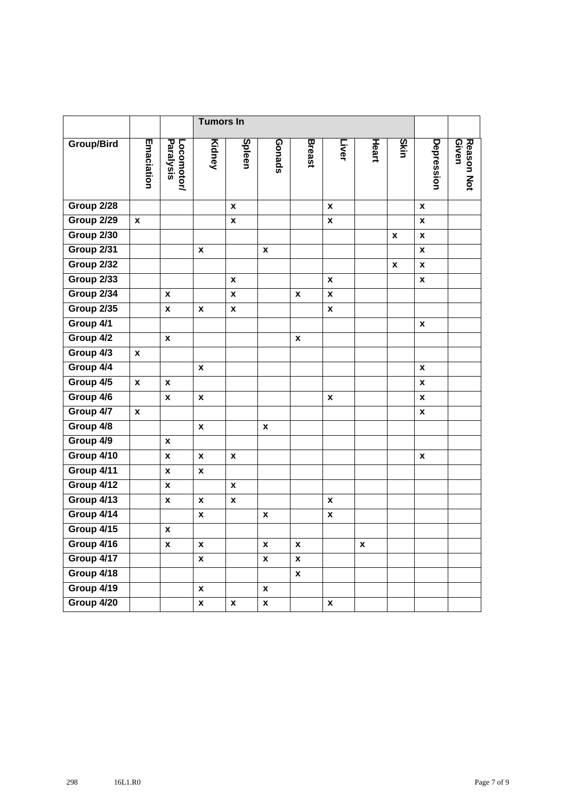|                   |                    |                           | <b>Tumors In</b>   |                    |                    |                    |                    |                    |                    |                    |                     |
|-------------------|--------------------|---------------------------|--------------------|--------------------|--------------------|--------------------|--------------------|--------------------|--------------------|--------------------|---------------------|
| <b>Group/Bird</b> | Emaciation         | Paralysis<br>Locomotor/   | Kidney             | Spleen             | Gonads             | <b>Breast</b>      | Liver              | Heart              | Skin               | Depression         | Reason Not<br>Given |
| Group 2/28        |                    |                           |                    | X                  |                    |                    | X                  |                    |                    | $\pmb{\chi}$       |                     |
| Group 2/29        | $\boldsymbol{x}$   |                           |                    | $\pmb{\mathsf{x}}$ |                    |                    | $\boldsymbol{x}$   |                    |                    | X                  |                     |
| Group 2/30        |                    |                           |                    |                    |                    |                    |                    |                    | $\pmb{\mathsf{x}}$ | $\boldsymbol{x}$   |                     |
| Group 2/31        |                    |                           | $\boldsymbol{x}$   |                    | $\pmb{\mathsf{x}}$ |                    |                    |                    |                    | $\pmb{\mathsf{x}}$ |                     |
| Group 2/32        |                    |                           |                    |                    |                    |                    |                    |                    | $\pmb{\mathsf{x}}$ | $\pmb{\mathsf{x}}$ |                     |
| Group 2/33        |                    |                           |                    | X                  |                    |                    | $\pmb{\chi}$       |                    |                    | $\pmb{\mathsf{x}}$ |                     |
| Group 2/34        |                    | X                         |                    | X                  |                    | $\pmb{\mathsf{X}}$ | $\pmb{\chi}$       |                    |                    |                    |                     |
| Group 2/35        |                    | $\pmb{\chi}$              | $\pmb{\chi}$       | $\pmb{\mathsf{x}}$ |                    |                    | $\pmb{\mathsf{x}}$ |                    |                    |                    |                     |
| Group 4/1         |                    |                           |                    |                    |                    |                    |                    |                    |                    | $\pmb{\chi}$       |                     |
| Group 4/2         |                    | $\pmb{\mathsf{x}}$        |                    |                    |                    | $\pmb{\mathsf{x}}$ |                    |                    |                    |                    |                     |
| Group 4/3         | $\boldsymbol{x}$   |                           |                    |                    |                    |                    |                    |                    |                    |                    |                     |
| Group 4/4         |                    |                           | $\pmb{\chi}$       |                    |                    |                    |                    |                    |                    | $\pmb{\chi}$       |                     |
| Group 4/5         | $\mathbf{x}$       | X                         |                    |                    |                    |                    |                    |                    |                    | X                  |                     |
| Group 4/6         |                    | X                         | X                  |                    |                    |                    | X                  |                    |                    | $\pmb{\chi}$       |                     |
| Group 4/7         | $\pmb{\mathsf{x}}$ |                           |                    |                    |                    |                    |                    |                    |                    | $\pmb{\chi}$       |                     |
| Group 4/8         |                    |                           | $\pmb{\mathsf{x}}$ |                    | $\pmb{\mathsf{x}}$ |                    |                    |                    |                    |                    |                     |
| Group 4/9         |                    | X                         |                    |                    |                    |                    |                    |                    |                    |                    |                     |
| Group 4/10        |                    | $\pmb{\chi}$              | $\pmb{\chi}$       | $\pmb{\mathsf{x}}$ |                    |                    |                    |                    |                    | $\pmb{\chi}$       |                     |
| Group 4/11        |                    | $\pmb{\mathsf{x}}$        | $\pmb{\mathsf{x}}$ |                    |                    |                    |                    |                    |                    |                    |                     |
| Group 4/12        |                    | $\pmb{\mathsf{x}}$        |                    | X                  |                    |                    |                    |                    |                    |                    |                     |
| Group 4/13        |                    | $\boldsymbol{\mathsf{x}}$ | X                  | $\pmb{\mathsf{x}}$ |                    |                    | $\boldsymbol{x}$   |                    |                    |                    |                     |
| Group 4/14        |                    |                           | $\pmb{\mathsf{x}}$ |                    | $\pmb{\mathsf{x}}$ |                    | $\pmb{\mathsf{x}}$ |                    |                    |                    |                     |
| Group 4/15        |                    | X                         |                    |                    |                    |                    |                    |                    |                    |                    |                     |
| Group 4/16        |                    | $\pmb{\mathsf{x}}$        | $\pmb{\mathsf{x}}$ |                    | $\pmb{\mathsf{x}}$ | $\pmb{\mathsf{x}}$ |                    | $\pmb{\mathsf{x}}$ |                    |                    |                     |
| Group 4/17        |                    |                           | $\pmb{\mathsf{x}}$ |                    | $\pmb{\mathsf{x}}$ | $\pmb{\mathsf{x}}$ |                    |                    |                    |                    |                     |
| Group 4/18        |                    |                           |                    |                    |                    | X                  |                    |                    |                    |                    |                     |
| Group 4/19        |                    |                           | $\pmb{\mathsf{x}}$ |                    | $\boldsymbol{x}$   |                    |                    |                    |                    |                    |                     |
| Group 4/20        |                    |                           | $\pmb{\mathsf{X}}$ | $\pmb{\mathsf{x}}$ | $\pmb{\mathsf{x}}$ |                    | $\pmb{\mathsf{X}}$ |                    |                    |                    |                     |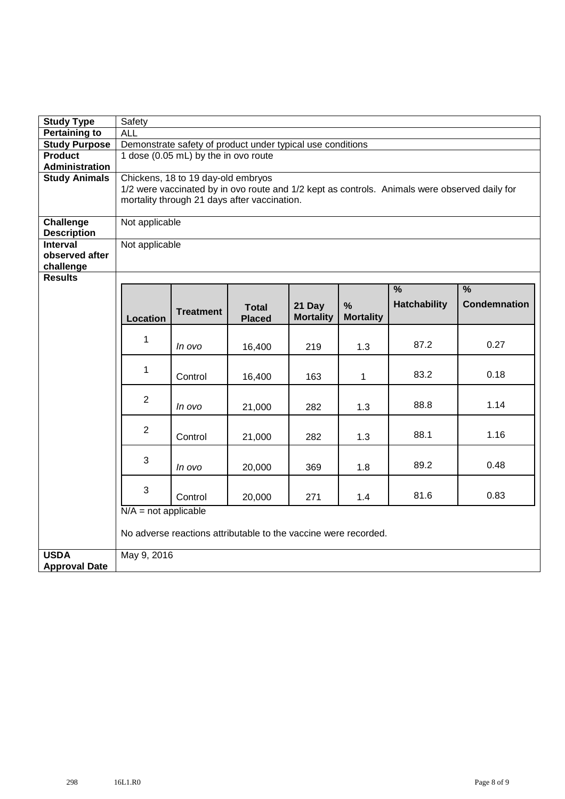| <b>Study Type</b>                      | Safety                               |                                                                                               |                                                                 |                            |                  |                     |                     |  |  |  |  |  |  |
|----------------------------------------|--------------------------------------|-----------------------------------------------------------------------------------------------|-----------------------------------------------------------------|----------------------------|------------------|---------------------|---------------------|--|--|--|--|--|--|
| <b>Pertaining to</b>                   | <b>ALL</b>                           |                                                                                               |                                                                 |                            |                  |                     |                     |  |  |  |  |  |  |
| <b>Study Purpose</b>                   |                                      | Demonstrate safety of product under typical use conditions                                    |                                                                 |                            |                  |                     |                     |  |  |  |  |  |  |
| <b>Product</b>                         | 1 dose (0.05 mL) by the in ovo route |                                                                                               |                                                                 |                            |                  |                     |                     |  |  |  |  |  |  |
| <b>Administration</b>                  |                                      |                                                                                               |                                                                 |                            |                  |                     |                     |  |  |  |  |  |  |
| <b>Study Animals</b>                   | Chickens, 18 to 19 day-old embryos   |                                                                                               |                                                                 |                            |                  |                     |                     |  |  |  |  |  |  |
|                                        |                                      | 1/2 were vaccinated by in ovo route and 1/2 kept as controls. Animals were observed daily for |                                                                 |                            |                  |                     |                     |  |  |  |  |  |  |
|                                        |                                      | mortality through 21 days after vaccination.                                                  |                                                                 |                            |                  |                     |                     |  |  |  |  |  |  |
|                                        |                                      |                                                                                               |                                                                 |                            |                  |                     |                     |  |  |  |  |  |  |
| <b>Challenge</b><br><b>Description</b> | Not applicable                       |                                                                                               |                                                                 |                            |                  |                     |                     |  |  |  |  |  |  |
| <b>Interval</b>                        | Not applicable                       |                                                                                               |                                                                 |                            |                  |                     |                     |  |  |  |  |  |  |
| observed after                         |                                      |                                                                                               |                                                                 |                            |                  |                     |                     |  |  |  |  |  |  |
| challenge                              |                                      |                                                                                               |                                                                 |                            |                  |                     |                     |  |  |  |  |  |  |
| <b>Results</b>                         |                                      |                                                                                               |                                                                 |                            |                  |                     |                     |  |  |  |  |  |  |
|                                        |                                      |                                                                                               |                                                                 |                            |                  | $\frac{9}{6}$       | $\frac{9}{6}$       |  |  |  |  |  |  |
|                                        |                                      |                                                                                               |                                                                 |                            | %                | <b>Hatchability</b> | <b>Condemnation</b> |  |  |  |  |  |  |
|                                        | <b>Location</b>                      | <b>Treatment</b>                                                                              | <b>Total</b><br><b>Placed</b>                                   | 21 Day<br><b>Mortality</b> | <b>Mortality</b> |                     |                     |  |  |  |  |  |  |
|                                        |                                      |                                                                                               |                                                                 |                            |                  |                     |                     |  |  |  |  |  |  |
|                                        | $\mathbf 1$                          |                                                                                               |                                                                 |                            |                  |                     |                     |  |  |  |  |  |  |
|                                        |                                      | In ovo                                                                                        | 16,400                                                          | 219                        | 1.3              | 87.2                | 0.27                |  |  |  |  |  |  |
|                                        |                                      |                                                                                               |                                                                 |                            |                  |                     |                     |  |  |  |  |  |  |
|                                        | $\mathbf 1$                          | Control                                                                                       | 16,400                                                          | 163                        | $\mathbf 1$      | 83.2                | 0.18                |  |  |  |  |  |  |
|                                        |                                      |                                                                                               |                                                                 |                            |                  |                     |                     |  |  |  |  |  |  |
|                                        | $\overline{2}$                       |                                                                                               |                                                                 |                            |                  |                     |                     |  |  |  |  |  |  |
|                                        |                                      | In ovo                                                                                        | 21,000                                                          | 282                        | 1.3              | 88.8                | 1.14                |  |  |  |  |  |  |
|                                        |                                      |                                                                                               |                                                                 |                            |                  |                     |                     |  |  |  |  |  |  |
|                                        | $\overline{2}$                       | Control                                                                                       | 21,000                                                          | 282                        | 1.3              | 88.1                | 1.16                |  |  |  |  |  |  |
|                                        |                                      |                                                                                               |                                                                 |                            |                  |                     |                     |  |  |  |  |  |  |
|                                        | 3                                    |                                                                                               |                                                                 |                            |                  |                     |                     |  |  |  |  |  |  |
|                                        |                                      | In ovo                                                                                        | 20,000                                                          | 369                        | 1.8              | 89.2                | 0.48                |  |  |  |  |  |  |
|                                        |                                      |                                                                                               |                                                                 |                            |                  |                     |                     |  |  |  |  |  |  |
|                                        | 3                                    | Control                                                                                       | 20,000                                                          | 271                        | 1.4              | 81.6                | 0.83                |  |  |  |  |  |  |
|                                        | $N/A$ = not applicable               |                                                                                               |                                                                 |                            |                  |                     |                     |  |  |  |  |  |  |
|                                        |                                      |                                                                                               |                                                                 |                            |                  |                     |                     |  |  |  |  |  |  |
|                                        |                                      |                                                                                               | No adverse reactions attributable to the vaccine were recorded. |                            |                  |                     |                     |  |  |  |  |  |  |
|                                        |                                      |                                                                                               |                                                                 |                            |                  |                     |                     |  |  |  |  |  |  |
| <b>USDA</b>                            | May 9, 2016                          |                                                                                               |                                                                 |                            |                  |                     |                     |  |  |  |  |  |  |
| <b>Approval Date</b>                   |                                      |                                                                                               |                                                                 |                            |                  |                     |                     |  |  |  |  |  |  |